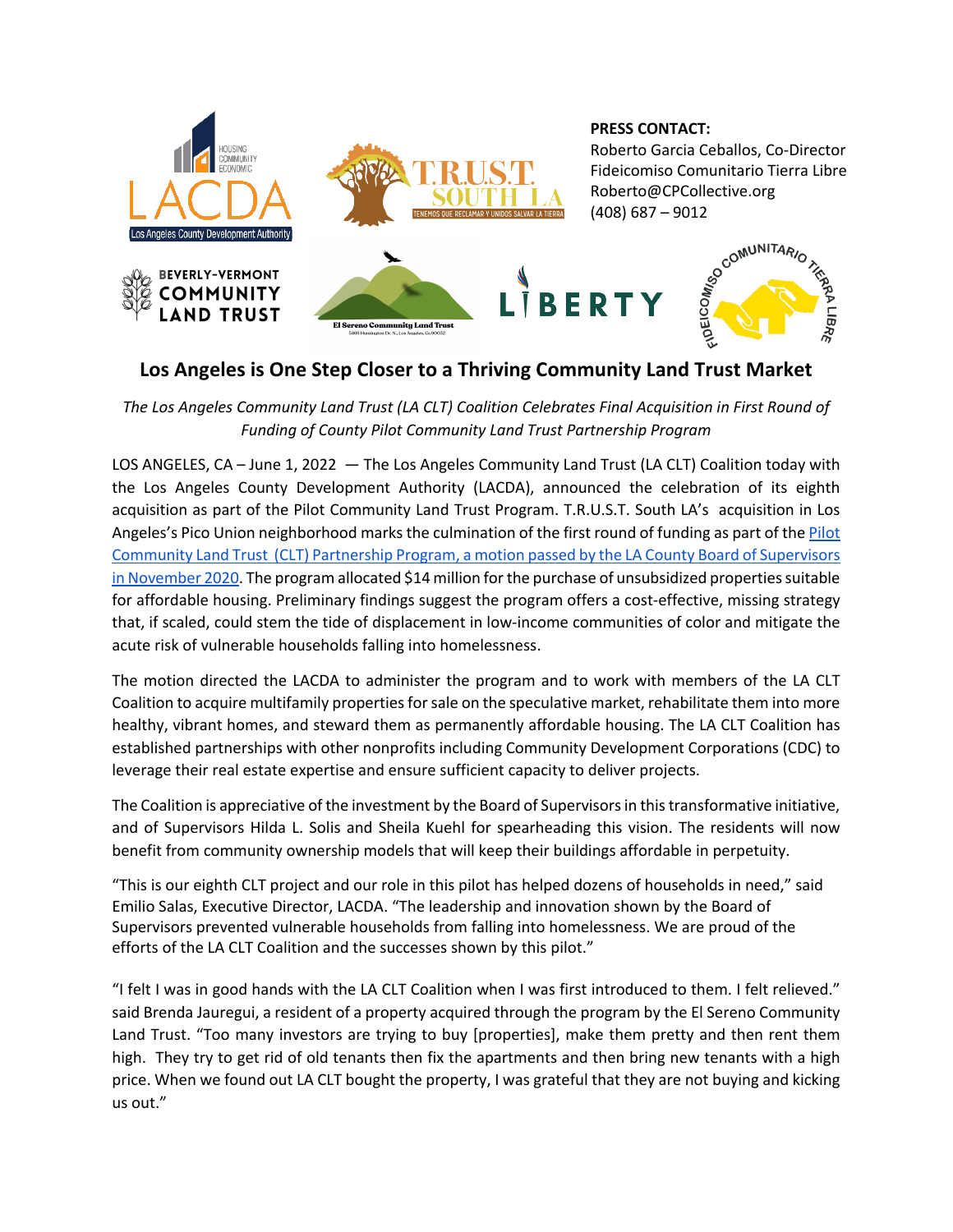

## **Los Angeles is One Step Closer to a Thriving Community Land Trust Market**

*The Los Angeles Community Land Trust (LA CLT) Coalition Celebrates Final Acquisition in First Round of Funding of County Pilot Community Land Trust Partnership Program*

LOS ANGELES, CA – June 1, 2022 — The Los Angeles Community Land Trust (LA CLT) Coalition today with the Los Angeles County Development Authority (LACDA), announced the celebration of its eighth acquisition as part of the Pilot Community Land Trust Program. T.R.U.S.T. South LA's acquisition in Los Angeles's Pico Union neighborhood marks the culmination of the first round of funding as part of the Pilot Community Land Trust (CLT) Partnership Program, a motion passed by the LA County Board of Supervisors in November 2020. The program allocated \$14 million for the purchase of unsubsidized properties suitable for affordable housing. Preliminary findings suggest the program offers a cost-effective, missing strategy that, if scaled, could stem the tide of displacement in low-income communities of color and mitigate the acute risk of vulnerable households falling into homelessness.

The motion directed the LACDA to administer the program and to work with members of the LA CLT Coalition to acquire multifamily properties for sale on the speculative market, rehabilitate them into more healthy, vibrant homes, and steward them as permanently affordable housing. The LA CLT Coalition has established partnerships with other nonprofits including Community Development Corporations (CDC) to leverage their real estate expertise and ensure sufficient capacity to deliver projects.

The Coalition is appreciative of the investment by the Board of Supervisors in this transformative initiative, and of Supervisors Hilda L. Solis and Sheila Kuehl for spearheading this vision. The residents will now benefit from community ownership models that will keep their buildings affordable in perpetuity.

"This is our eighth CLT project and our role in this pilot has helped dozens of households in need," said Emilio Salas, Executive Director, LACDA. "The leadership and innovation shown by the Board of Supervisors prevented vulnerable households from falling into homelessness. We are proud of the efforts of the LA CLT Coalition and the successes shown by this pilot."

"I felt I was in good hands with the LA CLT Coalition when I was first introduced to them. I felt relieved." said Brenda Jauregui, a resident of a property acquired through the program by the El Sereno Community Land Trust. "Too many investors are trying to buy [properties], make them pretty and then rent them high. They try to get rid of old tenants then fix the apartments and then bring new tenants with a high price. When we found out LA CLT bought the property, I was grateful that they are not buying and kicking us out."